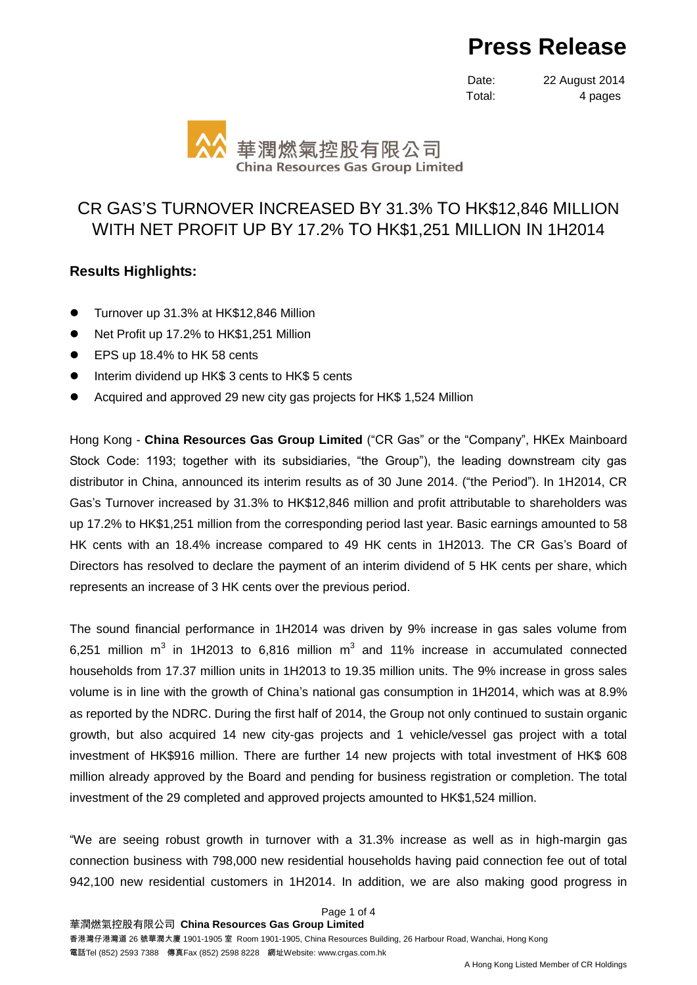# **Press Release**

Date: 22 August 2014 Total: 4 pages



## CR GAS'S TURNOVER INCREASED BY 31.3% TO HK\$12,846 MILLION WITH NET PROFIT UP BY 17.2% TO HK\$1,251 MILLION IN 1H2014

### **Results Highlights:**

- Turnover up 31.3% at HK\$12,846 Million
- Net Profit up 17.2% to HK\$1,251 Million
- EPS up 18.4% to HK 58 cents
- Interim dividend up HK\$ 3 cents to HK\$ 5 cents
- Acquired and approved 29 new city gas projects for HK\$ 1,524 Million

Hong Kong - **China Resources Gas Group Limited** ("CR Gas" or the "Company", HKEx Mainboard Stock Code: 1193; together with its subsidiaries, "the Group"), the leading downstream city gas distributor in China, announced its interim results as of 30 June 2014. ("the Period"). In 1H2014, CR Gas's Turnover increased by 31.3% to HK\$12,846 million and profit attributable to shareholders was up 17.2% to HK\$1,251 million from the corresponding period last year. Basic earnings amounted to 58 HK cents with an 18.4% increase compared to 49 HK cents in 1H2013. The CR Gas's Board of Directors has resolved to declare the payment of an interim dividend of 5 HK cents per share, which represents an increase of 3 HK cents over the previous period.

The sound financial performance in 1H2014 was driven by 9% increase in gas sales volume from 6,251 million  $m^3$  in 1H2013 to 6,816 million  $m^3$  and 11% increase in accumulated connected households from 17.37 million units in 1H2013 to 19.35 million units. The 9% increase in gross sales volume is in line with the growth of China's national gas consumption in 1H2014, which was at 8.9% as reported by the NDRC. During the first half of 2014, the Group not only continued to sustain organic growth, but also acquired 14 new city-gas projects and 1 vehicle/vessel gas project with a total investment of HK\$916 million. There are further 14 new projects with total investment of HK\$ 608 million already approved by the Board and pending for business registration or completion. The total investment of the 29 completed and approved projects amounted to HK\$1,524 million.

"We are seeing robust growth in turnover with a 31.3% increase as well as in high-margin gas connection business with 798,000 new residential households having paid connection fee out of total 942,100 new residential customers in 1H2014. In addition, we are also making good progress in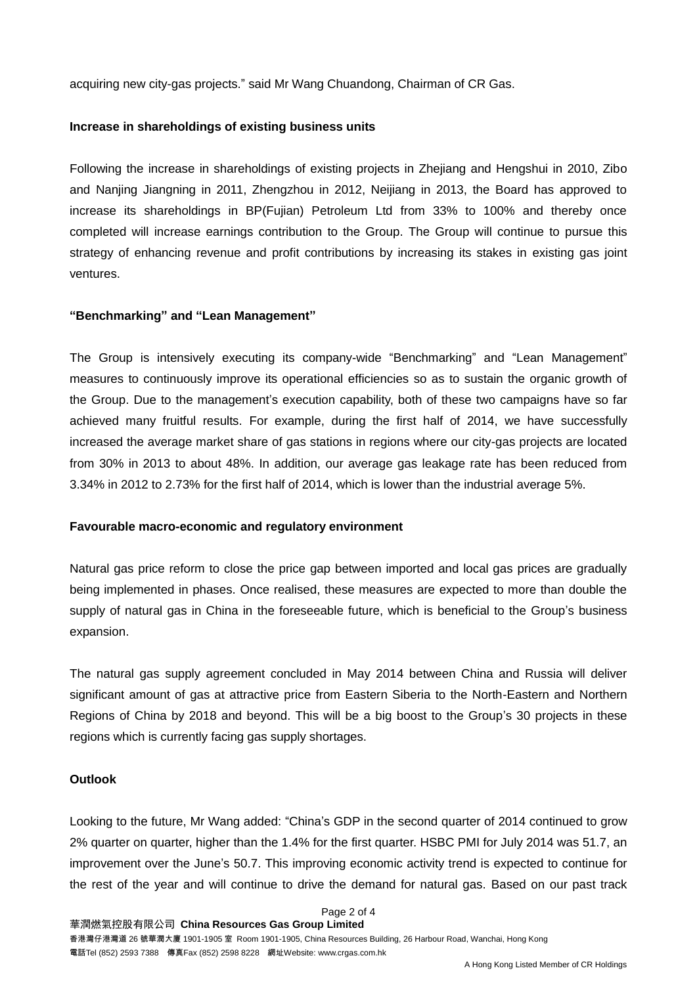acquiring new city-gas projects." said Mr Wang Chuandong, Chairman of CR Gas.

#### **Increase in shareholdings of existing business units**

Following the increase in shareholdings of existing projects in Zhejiang and Hengshui in 2010, Zibo and Nanjing Jiangning in 2011, Zhengzhou in 2012, Neijiang in 2013, the Board has approved to increase its shareholdings in BP(Fujian) Petroleum Ltd from 33% to 100% and thereby once completed will increase earnings contribution to the Group. The Group will continue to pursue this strategy of enhancing revenue and profit contributions by increasing its stakes in existing gas joint ventures.

#### **"Benchmarking" and "Lean Management"**

The Group is intensively executing its company-wide "Benchmarking" and "Lean Management" measures to continuously improve its operational efficiencies so as to sustain the organic growth of the Group. Due to the management's execution capability, both of these two campaigns have so far achieved many fruitful results. For example, during the first half of 2014, we have successfully increased the average market share of gas stations in regions where our city-gas projects are located from 30% in 2013 to about 48%. In addition, our average gas leakage rate has been reduced from 3.34% in 2012 to 2.73% for the first half of 2014, which is lower than the industrial average 5%.

#### **Favourable macro-economic and regulatory environment**

Natural gas price reform to close the price gap between imported and local gas prices are gradually being implemented in phases. Once realised, these measures are expected to more than double the supply of natural gas in China in the foreseeable future, which is beneficial to the Group's business expansion.

The natural gas supply agreement concluded in May 2014 between China and Russia will deliver significant amount of gas at attractive price from Eastern Siberia to the North-Eastern and Northern Regions of China by 2018 and beyond. This will be a big boost to the Group's 30 projects in these regions which is currently facing gas supply shortages.

#### **Outlook**

Looking to the future, Mr Wang added: "China's GDP in the second quarter of 2014 continued to grow 2% quarter on quarter, higher than the 1.4% for the first quarter. HSBC PMI for July 2014 was 51.7, an improvement over the June's 50.7. This improving economic activity trend is expected to continue for the rest of the year and will continue to drive the demand for natural gas. Based on our past track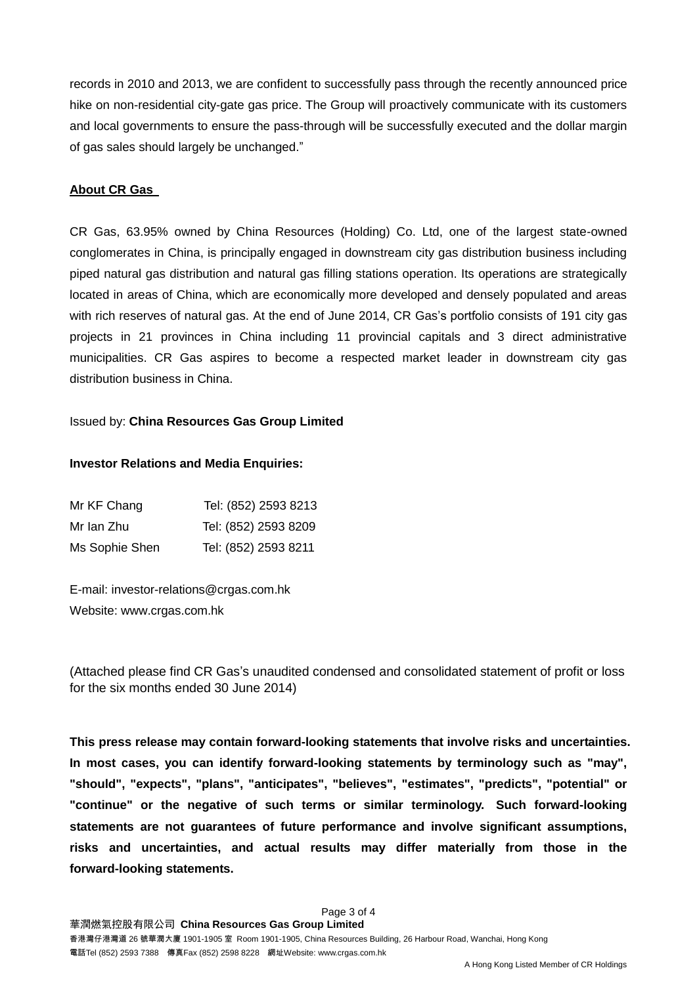records in 2010 and 2013, we are confident to successfully pass through the recently announced price hike on non-residential city-gate gas price. The Group will proactively communicate with its customers and local governments to ensure the pass-through will be successfully executed and the dollar margin of gas sales should largely be unchanged."

#### **About CR Gas**

CR Gas, 63.95% owned by China Resources (Holding) Co. Ltd, one of the largest state-owned conglomerates in China, is principally engaged in downstream city gas distribution business including piped natural gas distribution and natural gas filling stations operation. Its operations are strategically located in areas of China, which are economically more developed and densely populated and areas with rich reserves of natural gas. At the end of June 2014, CR Gas's portfolio consists of 191 city gas projects in 21 provinces in China including 11 provincial capitals and 3 direct administrative municipalities. CR Gas aspires to become a respected market leader in downstream city gas distribution business in China.

#### Issued by: **China Resources Gas Group Limited**

#### **Investor Relations and Media Enquiries:**

| Mr KF Chang    | Tel: (852) 2593 8213 |
|----------------|----------------------|
| Mr Ian Zhu     | Tel: (852) 2593 8209 |
| Ms Sophie Shen | Tel: (852) 2593 8211 |

E-mail: [investor-relations@crgas.com.hk](mailto:investor-relations@crgas.com.hk) Website: [www.crgas.com.hk](http://www.crgas.com.hk/)

(Attached please find CR Gas's unaudited condensed and consolidated statement of profit or loss for the six months ended 30 June 2014)

**This press release may contain forward-looking statements that involve risks and uncertainties. In most cases, you can identify forward-looking statements by terminology such as "may", "should", "expects", "plans", "anticipates", "believes", "estimates", "predicts", "potential" or "continue" or the negative of such terms or similar terminology. Such forward-looking statements are not guarantees of future performance and involve significant assumptions, risks and uncertainties, and actual results may differ materially from those in the forward-looking statements.**